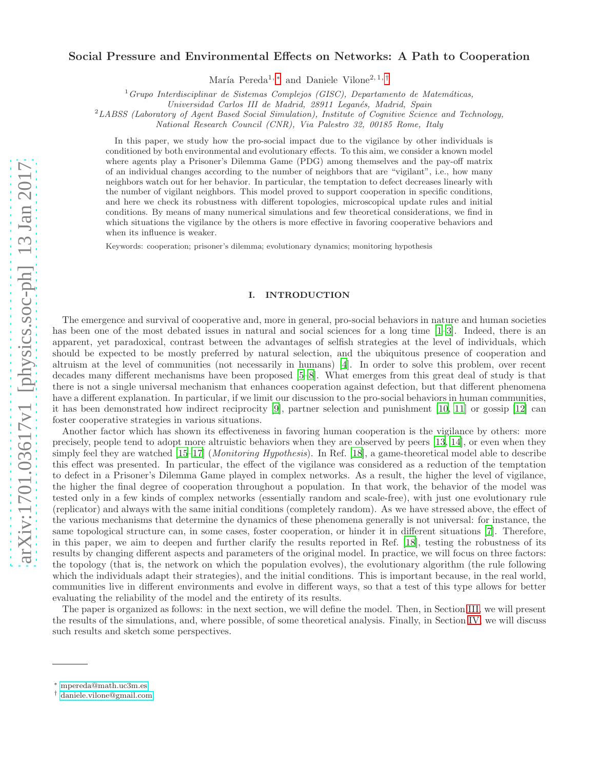# arXiv:1701.03617v1 [physics.soc-ph] 13 Jan 2017 [arXiv:1701.03617v1 \[physics.soc-ph\] 13 Jan 2017](http://arxiv.org/abs/1701.03617v1)

# Social Pressure and Environmental Effects on Networks: A Path to Cooperation

María Pereda<sup>1, [∗](#page-0-0)</sup> and Daniele Vilone<sup>2, 1, [†](#page-0-1)</sup>

<sup>1</sup>*Grupo Interdisciplinar de Sistemas Complejos (GISC), Departamento de Matem´aticas,*

*Universidad Carlos III de Madrid, 28911 Legan´es, Madrid, Spain*

<sup>2</sup>*LABSS (Laboratory of Agent Based Social Simulation), Institute of Cognitive Science and Technology,*

*National Research Council (CNR), Via Palestro 32, 00185 Rome, Italy*

In this paper, we study how the pro-social impact due to the vigilance by other individuals is conditioned by both environmental and evolutionary effects. To this aim, we consider a known model where agents play a Prisoner's Dilemma Game (PDG) among themselves and the pay-off matrix of an individual changes according to the number of neighbors that are "vigilant", i.e., how many neighbors watch out for her behavior. In particular, the temptation to defect decreases linearly with the number of vigilant neighbors. This model proved to support cooperation in specific conditions, and here we check its robustness with different topologies, microscopical update rules and initial conditions. By means of many numerical simulations and few theoretical considerations, we find in which situations the vigilance by the others is more effective in favoring cooperative behaviors and when its influence is weaker.

Keywords: cooperation; prisoner's dilemma; evolutionary dynamics; monitoring hypothesis

# I. INTRODUCTION

The emergence and survival of cooperative and, more in general, pro-social behaviors in nature and human societies has been one of the most debated issues in natural and social sciences for a long time [\[1](#page-6-0)[–3\]](#page-6-1). Indeed, there is an apparent, yet paradoxical, contrast between the advantages of selfish strategies at the level of individuals, which should be expected to be mostly preferred by natural selection, and the ubiquitous presence of cooperation and altruism at the level of communities (not necessarily in humans) [\[4](#page-6-2)]. In order to solve this problem, over recent decades many different mechanisms have been proposed [\[5](#page-6-3)[–8\]](#page-6-4). What emerges from this great deal of study is that there is not a single universal mechanism that enhances cooperation against defection, but that different phenomena have a different explanation. In particular, if we limit our discussion to the pro-social behaviors in human communities, it has been demonstrated how indirect reciprocity [\[9](#page-6-5)], partner selection and punishment [\[10](#page-6-6), [11](#page-6-7)] or gossip [\[12](#page-6-8)] can foster cooperative strategies in various situations.

Another factor which has shown its effectiveness in favoring human cooperation is the vigilance by others: more precisely, people tend to adopt more altruistic behaviors when they are observed by peers [\[13](#page-6-9), [14](#page-6-10)], or even when they simply feel they are watched [\[15](#page-6-11)[–17](#page-6-12)] (*Monitoring Hypothesis*). In Ref. [\[18\]](#page-6-13), a game-theoretical model able to describe this effect was presented. In particular, the effect of the vigilance was considered as a reduction of the temptation to defect in a Prisoner's Dilemma Game played in complex networks. As a result, the higher the level of vigilance, the higher the final degree of cooperation throughout a population. In that work, the behavior of the model was tested only in a few kinds of complex networks (essentially random and scale-free), with just one evolutionary rule (replicator) and always with the same initial conditions (completely random). As we have stressed above, the effect of the various mechanisms that determine the dynamics of these phenomena generally is not universal: for instance, the same topological structure can, in some cases, foster cooperation, or hinder it in different situations [\[7](#page-6-14)]. Therefore, in this paper, we aim to deepen and further clarify the results reported in Ref. [\[18\]](#page-6-13), testing the robustness of its results by changing different aspects and parameters of the original model. In practice, we will focus on three factors: the topology (that is, the network on which the population evolves), the evolutionary algorithm (the rule following which the individuals adapt their strategies), and the initial conditions. This is important because, in the real world, communities live in different environments and evolve in different ways, so that a test of this type allows for better evaluating the reliability of the model and the entirety of its results.

The paper is organized as follows: in the next section, we will define the model. Then, in Section [III,](#page-2-0) we will present the results of the simulations, and, where possible, of some theoretical analysis. Finally, in Section [IV,](#page-4-0) we will discuss such results and sketch some perspectives.

<span id="page-0-0"></span><sup>∗</sup> [mpereda@math.uc3m.es](mailto:mpereda@math.uc3m.es)

<span id="page-0-1"></span><sup>†</sup> [daniele.vilone@gmail.com](mailto:daniele.vilone@gmail.com)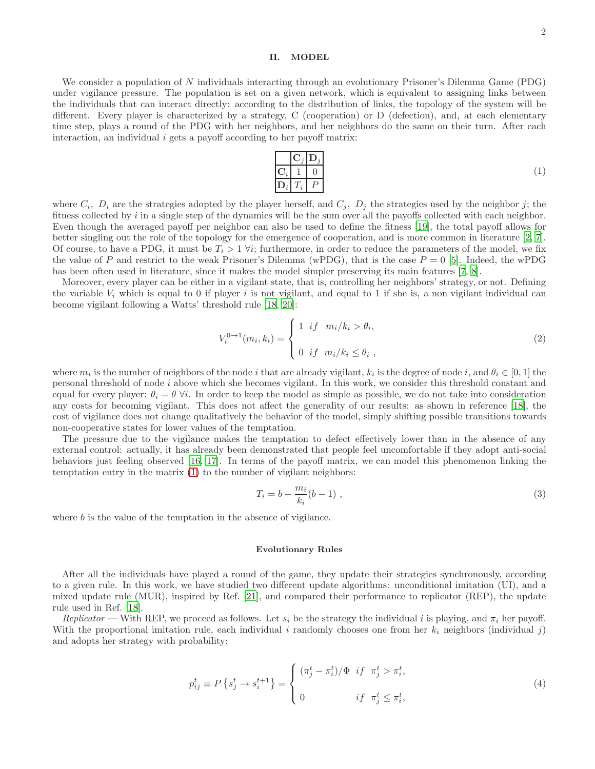# II. MODEL

We consider a population of N individuals interacting through an evolutionary Prisoner's Dilemma Game (PDG) under vigilance pressure. The population is set on a given network, which is equivalent to assigning links between the individuals that can interact directly: according to the distribution of links, the topology of the system will be different. Every player is characterized by a strategy, C (cooperation) or D (defection), and, at each elementary time step, plays a round of the PDG with her neighbors, and her neighbors do the same on their turn. After each interaction, an individual  $i$  gets a payoff according to her payoff matrix:

<span id="page-1-0"></span>

|                                | $ \mathbf{C}_i \mathbf{D}_i $ |
|--------------------------------|-------------------------------|
| $\mathbf{C}_i \mid 1 \mid 0$   |                               |
| $\mathbf{D}_i \mid T_i \mid P$ |                               |

where  $C_i$ ,  $D_i$  are the strategies adopted by the player herself, and  $C_j$ ,  $D_j$  the strategies used by the neighbor j; the fitness collected by  $i$  in a single step of the dynamics will be the sum over all the payoffs collected with each neighbor. Even though the averaged payoff per neighbor can also be used to define the fitness [\[19\]](#page-6-15), the total payoff allows for better singling out the role of the topology for the emergence of cooperation, and is more common in literature [\[2,](#page-6-16) [7\]](#page-6-14). Of course, to have a PDG, it must be  $T_i > 1 \forall i$ ; furthermore, in order to reduce the parameters of the model, we fix the value of P and restrict to the weak Prisoner's Dilemma (wPDG), that is the case  $P = 0$  [\[5\]](#page-6-3). Indeed, the wPDG has been often used in literature, since it makes the model simpler preserving its main features [\[7](#page-6-14), [8\]](#page-6-4).

Moreover, every player can be either in a vigilant state, that is, controlling her neighbors' strategy, or not. Defining the variable  $V_i$  which is equal to 0 if player i is not vigilant, and equal to 1 if she is, a non vigilant individual can become vigilant following a Watts' threshold rule [\[18,](#page-6-13) [20\]](#page-6-17):

<span id="page-1-1"></span>
$$
V_i^{0\to1}(m_i,k_i) = \begin{cases} 1 & \text{if } m_i/k_i > \theta_i, \\ 0 & \text{if } m_i/k_i \le \theta_i, \end{cases}
$$
 (2)

where  $m_i$  is the number of neighbors of the node i that are already vigilant,  $k_i$  is the degree of node i, and  $\theta_i \in [0,1]$  the personal threshold of node i above which she becomes vigilant. In this work, we consider this threshold constant and equal for every player:  $\theta_i = \theta \ \forall i$ . In order to keep the model as simple as possible, we do not take into consideration any costs for becoming vigilant. This does not affect the generality of our results: as shown in reference [\[18\]](#page-6-13), the cost of vigilance does not change qualitatively the behavior of the model, simply shifting possible transitions towards non-cooperative states for lower values of the temptation.

The pressure due to the vigilance makes the temptation to defect effectively lower than in the absence of any external control: actually, it has already been demonstrated that people feel uncomfortable if they adopt anti-social behaviors just feeling observed [\[16](#page-6-18), [17\]](#page-6-12). In terms of the payoff matrix, we can model this phenomenon linking the temptation entry in the matrix [\(1\)](#page-1-0) to the number of vigilant neighbors:

$$
T_i = b - \frac{m_i}{k_i} (b - 1) \tag{3}
$$

where b is the value of the temptation in the absence of vigilance.

#### Evolutionary Rules

After all the individuals have played a round of the game, they update their strategies synchronously, according to a given rule. In this work, we have studied two different update algorithms: unconditional imitation (UI), and a mixed update rule (MUR), inspired by Ref. [\[21\]](#page-6-19), and compared their performance to replicator (REP), the update rule used in Ref. [\[18\]](#page-6-13).

Replicator — With REP, we proceed as follows. Let  $s_i$  be the strategy the individual i is playing, and  $\pi_i$  her payoff. With the proportional imitation rule, each individual i randomly chooses one from her  $k_i$  neighbors (individual j) and adopts her strategy with probability:

$$
p_{ij}^t \equiv P\left\{s_j^t \to s_i^{t+1}\right\} = \begin{cases} \left(\pi_j^t - \pi_i^t\right)/\Phi & \text{if } \pi_j^t > \pi_i^t, \\ 0 & \text{if } \pi_j^t \le \pi_i^t, \end{cases} \tag{4}
$$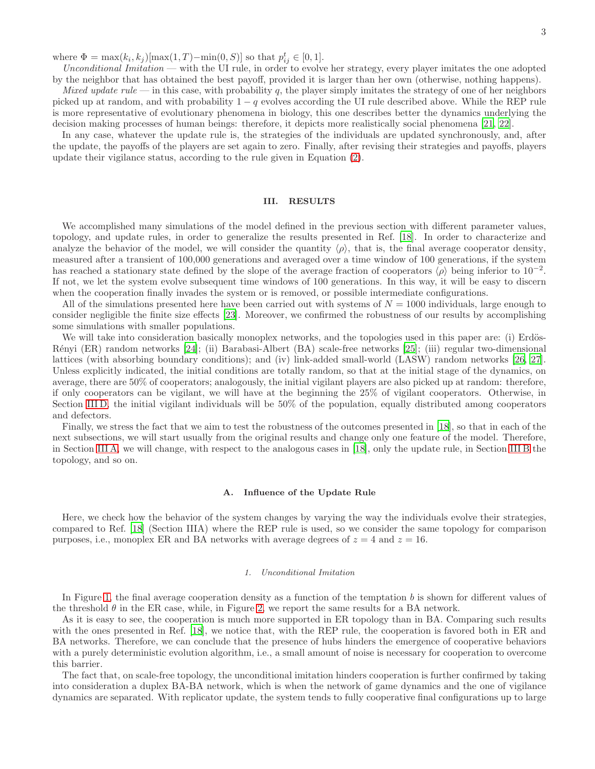where  $\Phi = \max(k_i, k_j) [\max(1, T) - \min(0, S)]$  so that  $p_{ij}^t \in [0, 1]$ .

Unconditional Imitation — with the UI rule, in order to evolve her strategy, every player imitates the one adopted by the neighbor that has obtained the best payoff, provided it is larger than her own (otherwise, nothing happens).

Mixed update rule — in this case, with probability q, the player simply imitates the strategy of one of her neighbors picked up at random, and with probability  $1 - q$  evolves according the UI rule described above. While the REP rule is more representative of evolutionary phenomena in biology, this one describes better the dynamics underlying the decision making processes of human beings: therefore, it depicts more realistically social phenomena [\[21,](#page-6-19) [22\]](#page-6-20).

In any case, whatever the update rule is, the strategies of the individuals are updated synchronously, and, after the update, the payoffs of the players are set again to zero. Finally, after revising their strategies and payoffs, players update their vigilance status, according to the rule given in Equation [\(2\)](#page-1-1).

# <span id="page-2-0"></span>III. RESULTS

We accomplished many simulations of the model defined in the previous section with different parameter values, topology, and update rules, in order to generalize the results presented in Ref. [\[18\]](#page-6-13). In order to characterize and analyze the behavior of the model, we will consider the quantity  $\langle \rho \rangle$ , that is, the final average cooperator density, measured after a transient of 100,000 generations and averaged over a time window of 100 generations, if the system has reached a stationary state defined by the slope of the average fraction of cooperators  $\langle \rho \rangle$  being inferior to 10<sup>-2</sup>. If not, we let the system evolve subsequent time windows of 100 generations. In this way, it will be easy to discern when the cooperation finally invades the system or is removed, or possible intermediate configurations.

All of the simulations presented here have been carried out with systems of  $N = 1000$  individuals, large enough to consider negligible the finite size effects [\[23](#page-6-21)]. Moreover, we confirmed the robustness of our results by accomplishing some simulations with smaller populations.

We will take into consideration basically monoplex networks, and the topologies used in this paper are: (i) Erdös-R´enyi (ER) random networks [\[24](#page-6-22)]; (ii) Barabasi-Albert (BA) scale-free networks [\[25](#page-6-23)]; (iii) regular two-dimensional lattices (with absorbing boundary conditions); and (iv) link-added small-world (LASW) random networks [\[26,](#page-6-24) [27\]](#page-6-25). Unless explicitly indicated, the initial conditions are totally random, so that at the initial stage of the dynamics, on average, there are 50% of cooperators; analogously, the initial vigilant players are also picked up at random: therefore, if only cooperators can be vigilant, we will have at the beginning the 25% of vigilant cooperators. Otherwise, in Section [III D,](#page-4-1) the initial vigilant individuals will be 50% of the population, equally distributed among cooperators and defectors.

Finally, we stress the fact that we aim to test the robustness of the outcomes presented in [\[18\]](#page-6-13), so that in each of the next subsections, we will start usually from the original results and change only one feature of the model. Therefore, in Section [III A,](#page-2-1) we will change, with respect to the analogous cases in [\[18\]](#page-6-13), only the update rule, in Section [III B](#page-3-0) the topology, and so on.

# <span id="page-2-1"></span>A. Influence of the Update Rule

Here, we check how the behavior of the system changes by varying the way the individuals evolve their strategies, compared to Ref. [\[18](#page-6-13)] (Section IIIA) where the REP rule is used, so we consider the same topology for comparison purposes, i.e., monoplex ER and BA networks with average degrees of  $z = 4$  and  $z = 16$ .

# <span id="page-2-2"></span>*1. Unconditional Imitation*

In Figure [1,](#page-7-0) the final average cooperation density as a function of the temptation  $b$  is shown for different values of the threshold  $\theta$  in the ER case, while, in Figure [2,](#page-7-1) we report the same results for a BA network.

As it is easy to see, the cooperation is much more supported in ER topology than in BA. Comparing such results with the ones presented in Ref. [\[18\]](#page-6-13), we notice that, with the REP rule, the cooperation is favored both in ER and BA networks. Therefore, we can conclude that the presence of hubs hinders the emergence of cooperative behaviors with a purely deterministic evolution algorithm, i.e., a small amount of noise is necessary for cooperation to overcome this barrier.

The fact that, on scale-free topology, the unconditional imitation hinders cooperation is further confirmed by taking into consideration a duplex BA-BA network, which is when the network of game dynamics and the one of vigilance dynamics are separated. With replicator update, the system tends to fully cooperative final configurations up to large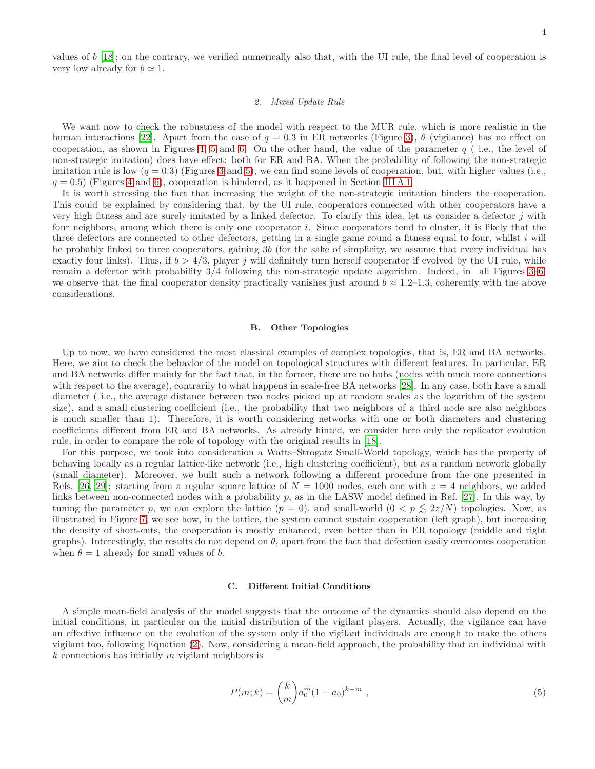values of  $b$  [\[18](#page-6-13)]; on the contrary, we verified numerically also that, with the UI rule, the final level of cooperation is very low already for  $b \simeq 1$ .

## *2. Mixed Update Rule*

We want now to check the robustness of the model with respect to the MUR rule, which is more realistic in the human interactions [\[22\]](#page-6-20). Apart from the case of  $q = 0.3$  in ER networks (Figure [3\)](#page-7-2),  $\theta$  (vigilance) has no effect on cooperation, as shown in Figures [4,](#page-7-3) [5](#page-8-0) and [6.](#page-8-1) On the other hand, the value of the parameter  $q$  (i.e., the level of non-strategic imitation) does have effect: both for ER and BA. When the probability of following the non-strategic imitation rule is low  $(q = 0.3)$  (Figures [3](#page-7-2) and [5\)](#page-8-0), we can find some levels of cooperation, but, with higher values (i.e.,  $q = 0.5$ ) (Figures [4](#page-7-3) and [6\)](#page-8-1), cooperation is hindered, as it happened in Section [III A 1.](#page-2-2)

It is worth stressing the fact that increasing the weight of the non-strategic imitation hinders the cooperation. This could be explained by considering that, by the UI rule, cooperators connected with other cooperators have a very high fitness and are surely imitated by a linked defector. To clarify this idea, let us consider a defector j with four neighbors, among which there is only one cooperator i. Since cooperators tend to cluster, it is likely that the three defectors are connected to other defectors, getting in a single game round a fitness equal to four, whilst i will be probably linked to three cooperators, gaining 3b (for the sake of simplicity, we assume that every individual has exactly four links). Thus, if  $b > 4/3$ , player j will definitely turn herself cooperator if evolved by the UI rule, while remain a defector with probability 3/4 following the non-strategic update algorithm. Indeed, in all Figures [3](#page-7-2)[–6,](#page-8-1) we observe that the final cooperator density practically vanishes just around  $b \approx 1.2$ –1.3, coherently with the above considerations.

#### <span id="page-3-0"></span>B. Other Topologies

Up to now, we have considered the most classical examples of complex topologies, that is, ER and BA networks. Here, we aim to check the behavior of the model on topological structures with different features. In particular, ER and BA networks differ mainly for the fact that, in the former, there are no hubs (nodes with much more connections with respect to the average), contrarily to what happens in scale-free BA networks [\[28](#page-6-26)]. In any case, both have a small diameter ( i.e., the average distance between two nodes picked up at random scales as the logarithm of the system size), and a small clustering coefficient (i.e., the probability that two neighbors of a third node are also neighbors is much smaller than 1). Therefore, it is worth considering networks with one or both diameters and clustering coefficients different from ER and BA networks. As already hinted, we consider here only the replicator evolution rule, in order to compare the role of topology with the original results in [\[18](#page-6-13)].

For this purpose, we took into consideration a Watts–Strogatz Small-World topology, which has the property of behaving locally as a regular lattice-like network (i.e., high clustering coefficient), but as a random network globally (small diameter). Moreover, we built such a network following a different procedure from the one presented in Refs. [\[26](#page-6-24), [29\]](#page-6-27): starting from a regular square lattice of  $N = 1000$  nodes, each one with  $z = 4$  neighbors, we added links between non-connected nodes with a probability  $p$ , as in the LASW model defined in Ref. [\[27](#page-6-25)]. In this way, by tuning the parameter p, we can explore the lattice  $(p = 0)$ , and small-world  $(0 < p \leq 2z/N)$  topologies. Now, as illustrated in Figure [7,](#page-8-2) we see how, in the lattice, the system cannot sustain cooperation (left graph), but increasing the density of short-cuts, the cooperation is mostly enhanced, even better than in ER topology (middle and right graphs). Interestingly, the results do not depend on  $\theta$ , apart from the fact that defection easily overcomes cooperation when  $\theta = 1$  already for small values of b.

#### C. Different Initial Conditions

A simple mean-field analysis of the model suggests that the outcome of the dynamics should also depend on the initial conditions, in particular on the initial distribution of the vigilant players. Actually, the vigilance can have an effective influence on the evolution of the system only if the vigilant individuals are enough to make the others vigilant too, following Equation [\(2\)](#page-1-1). Now, considering a mean-field approach, the probability that an individual with  $k$  connections has initially  $m$  vigilant neighbors is

$$
P(m;k) = {k \choose m} a_0^m (1 - a_0)^{k-m} , \qquad (5)
$$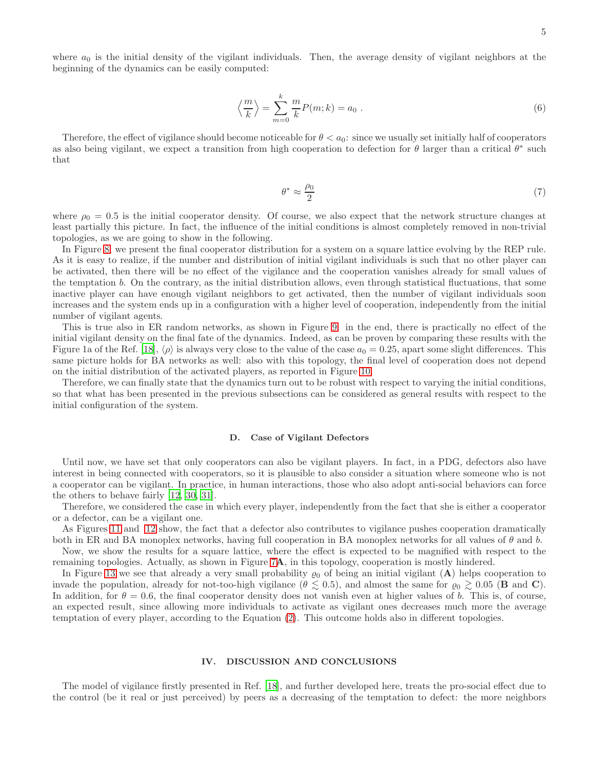where  $a_0$  is the initial density of the vigilant individuals. Then, the average density of vigilant neighbors at the beginning of the dynamics can be easily computed:

$$
\left\langle \frac{m}{k} \right\rangle = \sum_{m=0}^{k} \frac{m}{k} P(m; k) = a_0 \ . \tag{6}
$$

Therefore, the effect of vigilance should become noticeable for  $\theta < a_0$ : since we usually set initially half of cooperators as also being vigilant, we expect a transition from high cooperation to defection for  $\theta$  larger than a critical  $\theta^*$  such that

$$
\theta^* \approx \frac{\rho_0}{2} \tag{7}
$$

where  $\rho_0 = 0.5$  is the initial cooperator density. Of course, we also expect that the network structure changes at least partially this picture. In fact, the influence of the initial conditions is almost completely removed in non-trivial topologies, as we are going to show in the following.

In Figure [8,](#page-9-0) we present the final cooperator distribution for a system on a square lattice evolving by the REP rule. As it is easy to realize, if the number and distribution of initial vigilant individuals is such that no other player can be activated, then there will be no effect of the vigilance and the cooperation vanishes already for small values of the temptation b. On the contrary, as the initial distribution allows, even through statistical fluctuations, that some inactive player can have enough vigilant neighbors to get activated, then the number of vigilant individuals soon increases and the system ends up in a configuration with a higher level of cooperation, independently from the initial number of vigilant agents.

This is true also in ER random networks, as shown in Figure [9:](#page-9-1) in the end, there is practically no effect of the initial vigilant density on the final fate of the dynamics. Indeed, as can be proven by comparing these results with the Figure 1a of the Ref. [\[18\]](#page-6-13),  $\langle \rho \rangle$  is always very close to the value of the case  $a_0 = 0.25$ , apart some slight differences. This same picture holds for BA networks as well: also with this topology, the final level of cooperation does not depend on the initial distribution of the activated players, as reported in Figure [10.](#page-10-0)

Therefore, we can finally state that the dynamics turn out to be robust with respect to varying the initial conditions, so that what has been presented in the previous subsections can be considered as general results with respect to the initial configuration of the system.

#### <span id="page-4-1"></span>D. Case of Vigilant Defectors

Until now, we have set that only cooperators can also be vigilant players. In fact, in a PDG, defectors also have interest in being connected with cooperators, so it is plausible to also consider a situation where someone who is not a cooperator can be vigilant. In practice, in human interactions, those who also adopt anti-social behaviors can force the others to behave fairly [\[12](#page-6-8), [30](#page-6-28), [31\]](#page-6-29).

Therefore, we considered the case in which every player, independently from the fact that she is either a cooperator or a defector, can be a vigilant one.

As Figures [11](#page-10-1) and [12](#page-10-2) show, the fact that a defector also contributes to vigilance pushes cooperation dramatically both in ER and BA monoplex networks, having full cooperation in BA monoplex networks for all values of  $\theta$  and  $b$ .

Now, we show the results for a square lattice, where the effect is expected to be magnified with respect to the remaining topologies. Actually, as shown in Figure [7](#page-8-2)A, in this topology, cooperation is mostly hindered.

In Figure [13](#page-11-0) we see that already a very small probability  $\varrho_0$  of being an initial vigilant  $(A)$  helps cooperation to invade the population, already for not-too-high vigilance ( $\theta \lesssim 0.5$ ), and almost the same for  $\varrho_0 \gtrsim 0.05$  (**B** and **C**). In addition, for  $\theta = 0.6$ , the final cooperator density does not vanish even at higher values of b. This is, of course, an expected result, since allowing more individuals to activate as vigilant ones decreases much more the average temptation of every player, according to the Equation [\(2\)](#page-1-1). This outcome holds also in different topologies.

#### <span id="page-4-0"></span>IV. DISCUSSION AND CONCLUSIONS

The model of vigilance firstly presented in Ref. [\[18](#page-6-13)], and further developed here, treats the pro-social effect due to the control (be it real or just perceived) by peers as a decreasing of the temptation to defect: the more neighbors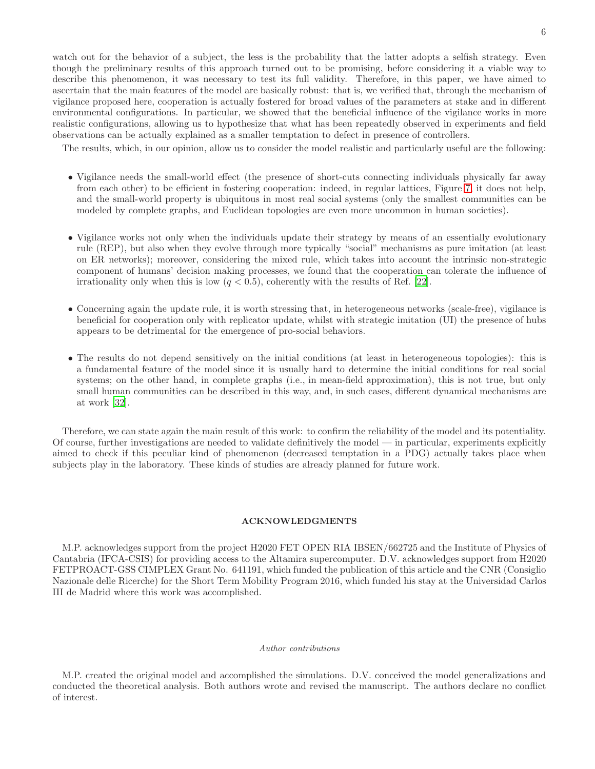watch out for the behavior of a subject, the less is the probability that the latter adopts a selfish strategy. Even though the preliminary results of this approach turned out to be promising, before considering it a viable way to describe this phenomenon, it was necessary to test its full validity. Therefore, in this paper, we have aimed to ascertain that the main features of the model are basically robust: that is, we verified that, through the mechanism of vigilance proposed here, cooperation is actually fostered for broad values of the parameters at stake and in different environmental configurations. In particular, we showed that the beneficial influence of the vigilance works in more realistic configurations, allowing us to hypothesize that what has been repeatedly observed in experiments and field observations can be actually explained as a smaller temptation to defect in presence of controllers.

The results, which, in our opinion, allow us to consider the model realistic and particularly useful are the following:

- Vigilance needs the small-world effect (the presence of short-cuts connecting individuals physically far away from each other) to be efficient in fostering cooperation: indeed, in regular lattices, Figure [7,](#page-8-2) it does not help, and the small-world property is ubiquitous in most real social systems (only the smallest communities can be modeled by complete graphs, and Euclidean topologies are even more uncommon in human societies).
- Vigilance works not only when the individuals update their strategy by means of an essentially evolutionary rule (REP), but also when they evolve through more typically "social" mechanisms as pure imitation (at least on ER networks); moreover, considering the mixed rule, which takes into account the intrinsic non-strategic component of humans' decision making processes, we found that the cooperation can tolerate the influence of irrationality only when this is low  $(q < 0.5)$ , coherently with the results of Ref. [\[22\]](#page-6-20).
- Concerning again the update rule, it is worth stressing that, in heterogeneous networks (scale-free), vigilance is beneficial for cooperation only with replicator update, whilst with strategic imitation (UI) the presence of hubs appears to be detrimental for the emergence of pro-social behaviors.
- The results do not depend sensitively on the initial conditions (at least in heterogeneous topologies): this is a fundamental feature of the model since it is usually hard to determine the initial conditions for real social systems; on the other hand, in complete graphs (i.e., in mean-field approximation), this is not true, but only small human communities can be described in this way, and, in such cases, different dynamical mechanisms are at work [\[32](#page-6-30)].

Therefore, we can state again the main result of this work: to confirm the reliability of the model and its potentiality. Of course, further investigations are needed to validate definitively the model — in particular, experiments explicitly aimed to check if this peculiar kind of phenomenon (decreased temptation in a PDG) actually takes place when subjects play in the laboratory. These kinds of studies are already planned for future work.

## ACKNOWLEDGMENTS

M.P. acknowledges support from the project H2020 FET OPEN RIA IBSEN/662725 and the Institute of Physics of Cantabria (IFCA-CSIS) for providing access to the Altamira supercomputer. D.V. acknowledges support from H2020 FETPROACT-GSS CIMPLEX Grant No. 641191, which funded the publication of this article and the CNR (Consiglio Nazionale delle Ricerche) for the Short Term Mobility Program 2016, which funded his stay at the Universidad Carlos III de Madrid where this work was accomplished.

#### *Author contributions*

M.P. created the original model and accomplished the simulations. D.V. conceived the model generalizations and conducted the theoretical analysis. Both authors wrote and revised the manuscript. The authors declare no conflict of interest.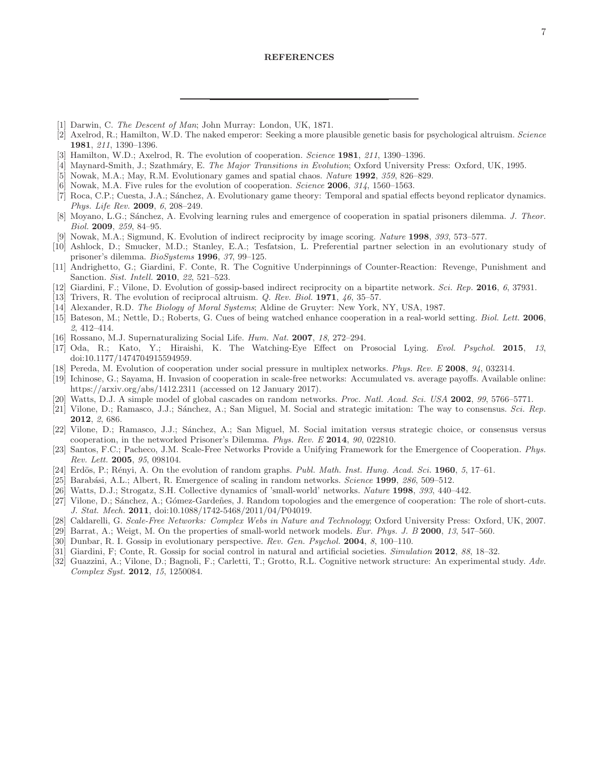- <span id="page-6-0"></span>[1] Darwin, C. *The Descent of Man*; John Murray: London, UK, 1871.
- <span id="page-6-16"></span>[2] Axelrod, R.; Hamilton, W.D. The naked emperor: Seeking a more plausible genetic basis for psychological altruism. *Science* 1981, *211*, 1390–1396.
- <span id="page-6-1"></span>[3] Hamilton, W.D.; Axelrod, R. The evolution of cooperation. *Science* 1981, *211*, 1390–1396.
- <span id="page-6-2"></span>[4] Maynard-Smith, J.; Szathm´ary, E. *The Major Transitions in Evolution*; Oxford University Press: Oxford, UK, 1995.
- <span id="page-6-3"></span>[5] Nowak, M.A.; May, R.M. Evolutionary games and spatial chaos. *Nature* 1992, *359*, 826–829.
- [6] Nowak, M.A. Five rules for the evolution of cooperation. *Science* 2006, *314*, 1560–1563.
- <span id="page-6-14"></span>[7] Roca, C.P.; Cuesta, J.A.; Sánchez, A. Evolutionary game theory: Temporal and spatial effects beyond replicator dynamics. *Phys. Life Rev.* 2009, *6*, 208–249.
- <span id="page-6-4"></span>[8] Moyano, L.G.; S´anchez, A. Evolving learning rules and emergence of cooperation in spatial prisoners dilemma. *J. Theor. Biol.* 2009, *259*, 84–95.
- <span id="page-6-5"></span>[9] Nowak, M.A.; Sigmund, K. Evolution of indirect reciprocity by image scoring. *Nature* 1998, *393*, 573–577.
- <span id="page-6-6"></span>[10] Ashlock, D.; Smucker, M.D.; Stanley, E.A.; Tesfatsion, L. Preferential partner selection in an evolutionary study of prisoner's dilemma. *BioSystems* 1996, *37*, 99–125.
- <span id="page-6-7"></span>[11] Andrighetto, G.; Giardini, F. Conte, R. The Cognitive Underpinnings of Counter-Reaction: Revenge, Punishment and Sanction. *Sist. Intell.* 2010, *22*, 521–523.
- <span id="page-6-8"></span>[12] Giardini, F.; Vilone, D. Evolution of gossip-based indirect reciprocity on a bipartite network. *Sci. Rep.* 2016, *6*, 37931.
- <span id="page-6-9"></span>[13] Trivers, R. The evolution of reciprocal altruism. *Q. Rev. Biol.* 1971, *46*, 35–57.
- <span id="page-6-10"></span>[14] Alexander, R.D. *The Biology of Moral Systems*; Aldine de Gruyter: New York, NY, USA, 1987.
- <span id="page-6-11"></span>[15] Bateson, M.; Nettle, D.; Roberts, G. Cues of being watched enhance cooperation in a real-world setting. *Biol. Lett.* 2006, *2*, 412–414.
- <span id="page-6-18"></span>[16] Rossano, M.J. Supernaturalizing Social Life. *Hum. Nat.* 2007, *18*, 272–294.
- <span id="page-6-12"></span>[17] Oda, R.; Kato, Y.; Hiraishi, K. The Watching-Eye Effect on Prosocial Lying. *Evol. Psychol.* 2015, *13*, doi:10.1177/1474704915594959.
- <span id="page-6-13"></span>[18] Pereda, M. Evolution of cooperation under social pressure in multiplex networks. *Phys. Rev. E* 2008, *94*, 032314.
- <span id="page-6-15"></span>[19] Ichinose, G.; Sayama, H. Invasion of cooperation in scale-free networks: Accumulated vs. average payoffs. Available online: https://arxiv.org/abs/1412.2311 (accessed on 12 January 2017).
- <span id="page-6-17"></span>[20] Watts, D.J. A simple model of global cascades on random networks. *Proc. Natl. Acad. Sci. USA* 2002, *99*, 5766–5771.
- <span id="page-6-19"></span>[21] Vilone, D.; Ramasco, J.J.; Sánchez, A.; San Miguel, M. Social and strategic imitation: The way to consensus. *Sci. Rep.* 2012, *2*, 686.
- <span id="page-6-20"></span>[22] Vilone, D.; Ramasco, J.J.; S´anchez, A.; San Miguel, M. Social imitation versus strategic choice, or consensus versus cooperation, in the networked Prisoner's Dilemma. *Phys. Rev. E* 2014, *90*, 022810.
- <span id="page-6-21"></span>[23] Santos, F.C.; Pacheco, J.M. Scale-Free Networks Provide a Unifying Framework for the Emergence of Cooperation. *Phys. Rev. Lett.* 2005, *95*, 098104.
- <span id="page-6-22"></span>[24] Erdös, P.; Rényi, A. On the evolution of random graphs. *Publ. Math. Inst. Hung. Acad. Sci.* 1960, 5, 17–61.
- <span id="page-6-23"></span>[25] Barab´asi, A.L.; Albert, R. Emergence of scaling in random networks. *Science* 1999, *286*, 509–512.
- <span id="page-6-24"></span>[26] Watts, D.J.; Strogatz, S.H. Collective dynamics of 'small-world' networks. *Nature* 1998, *393*, 440–442.
- <span id="page-6-25"></span>[27] Vilone, D.; Sánchez, A.; Gómez-Gardeñes, J. Random topologies and the emergence of cooperation: The role of short-cuts. *J. Stat. Mech.* 2011, doi:10.1088/1742-5468/2011/04/P04019.
- <span id="page-6-26"></span>[28] Caldarelli, G. *Scale-Free Networks: Complex Webs in Nature and Technology*; Oxford University Press: Oxford, UK, 2007.
- <span id="page-6-27"></span>[29] Barrat, A.; Weigt, M. On the properties of small-world network models. *Eur. Phys. J. B* 2000, *13*, 547–560.
- <span id="page-6-28"></span>[30] Dunbar, R. I. Gossip in evolutionary perspective. *Rev. Gen. Psychol.* 2004, *8*, 100–110.
- <span id="page-6-29"></span>[31] Giardini, F; Conte, R. Gossip for social control in natural and artificial societies. *Simulation* 2012, *88*, 18–32.
- <span id="page-6-30"></span>[32] Guazzini, A.; Vilone, D.; Bagnoli, F.; Carletti, T.; Grotto, R.L. Cognitive network structure: An experimental study. *Adv. Complex Syst.* 2012, *15*, 1250084.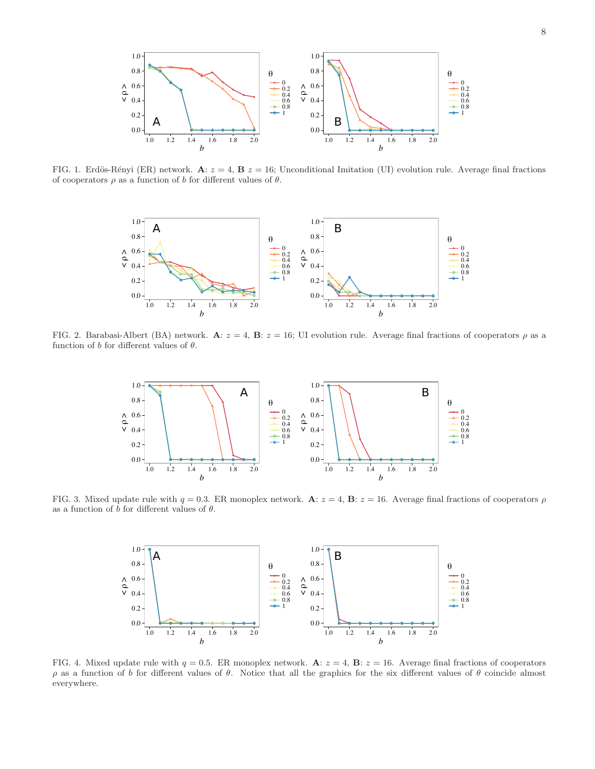

<span id="page-7-0"></span>FIG. 1. Erdös-Rényi (ER) network. A:  $z = 4$ , B  $z = 16$ ; Unconditional Imitation (UI) evolution rule. Average final fractions of cooperators  $\rho$  as a function of b for different values of  $\theta$ .



<span id="page-7-1"></span>FIG. 2. Barabasi-Albert (BA) network.  $\mathbf{A}: z = 4$ ,  $\mathbf{B}: z = 16$ ; UI evolution rule. Average final fractions of cooperators  $\rho$  as a function of b for different values of  $\theta$ .



<span id="page-7-2"></span>FIG. 3. Mixed update rule with  $q = 0.3$ . ER monoplex network. A:  $z = 4$ , B:  $z = 16$ . Average final fractions of cooperators  $\rho$ as a function of b for different values of  $\theta$ .



<span id="page-7-3"></span>FIG. 4. Mixed update rule with  $q = 0.5$ . ER monoplex network.  $\mathbf{A}: z = 4$ ,  $\mathbf{B}: z = 16$ . Average final fractions of cooperators ρ as a function of b for different values of θ. Notice that all the graphics for the six different values of θ coincide almost everywhere.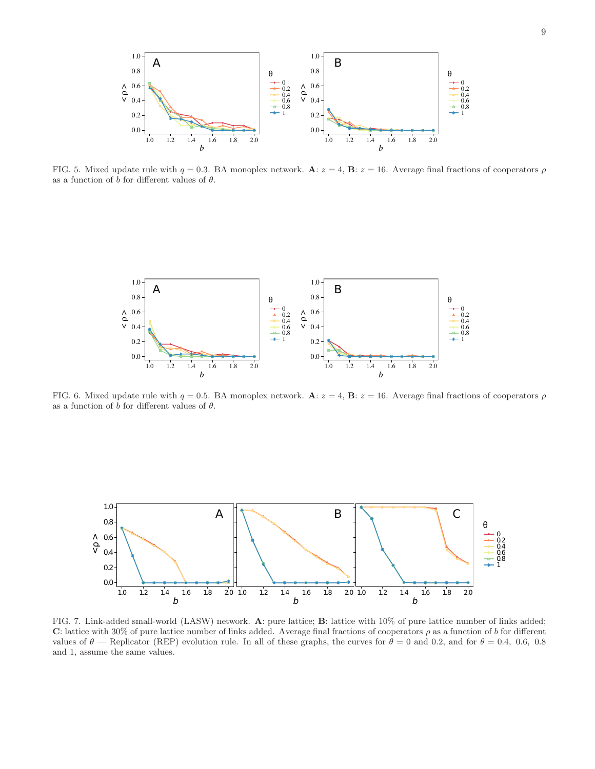

<span id="page-8-0"></span>FIG. 5. Mixed update rule with  $q = 0.3$ . BA monoplex network. A:  $z = 4$ , B:  $z = 16$ . Average final fractions of cooperators  $\rho$ as a function of  $b$  for different values of  $\theta$ .



<span id="page-8-1"></span>FIG. 6. Mixed update rule with  $q = 0.5$ . BA monoplex network. A:  $z = 4$ , B:  $z = 16$ . Average final fractions of cooperators  $\rho$ as a function of b for different values of  $\theta$ .



<span id="page-8-2"></span>FIG. 7. Link-added small-world (LASW) network. A: pure lattice; B: lattice with 10% of pure lattice number of links added; C: lattice with 30% of pure lattice number of links added. Average final fractions of cooperators  $\rho$  as a function of b for different values of  $\theta$  — Replicator (REP) evolution rule. In all of these graphs, the curves for  $\theta = 0$  and 0.2, and for  $\theta = 0.4$ , 0.6, 0.8 and 1, assume the same values.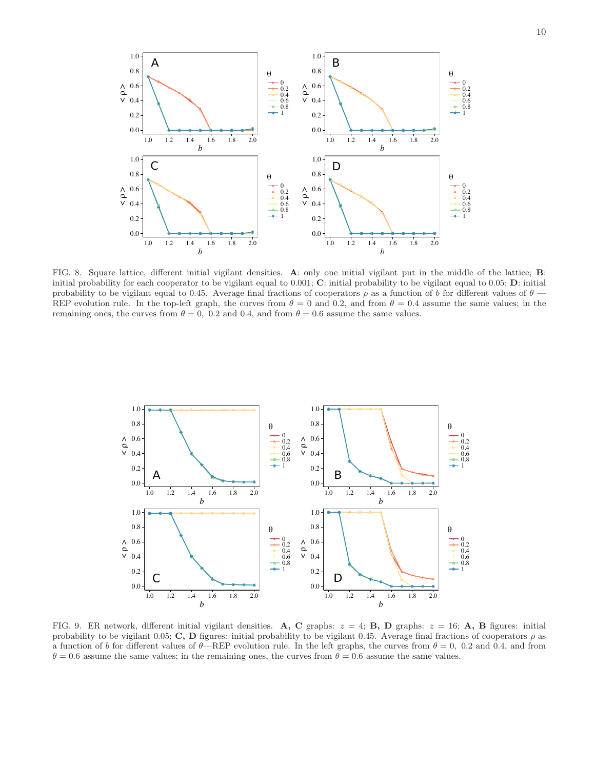

<span id="page-9-0"></span>FIG. 8. Square lattice, different initial vigilant densities. A: only one initial vigilant put in the middle of the lattice; B: initial probability for each cooperator to be vigilant equal to 0.001; C: initial probability to be vigilant equal to 0.05; D: initial probability to be vigilant equal to 0.45. Average final fractions of cooperators  $\rho$  as a function of b for different values of  $\theta$  — REP evolution rule. In the top-left graph, the curves from  $\theta = 0$  and 0.2, and from  $\theta = 0.4$  assume the same values; in the remaining ones, the curves from  $\theta = 0$ , 0.2 and 0.4, and from  $\theta = 0.6$  assume the same values.



<span id="page-9-1"></span>FIG. 9. ER network, different initial vigilant densities. A, C graphs:  $z = 4$ ; B, D graphs:  $z = 16$ ; A, B figures: initial probability to be vigilant 0.05; C, D figures: initial probability to be vigilant 0.45. Average final fractions of cooperators  $\rho$  as a function of b for different values of  $\theta$ —REP evolution rule. In the left graphs, the curves from  $\theta = 0$ , 0.2 and 0.4, and from  $\theta = 0.6$  assume the same values; in the remaining ones, the curves from  $\theta = 0.6$  assume the same values.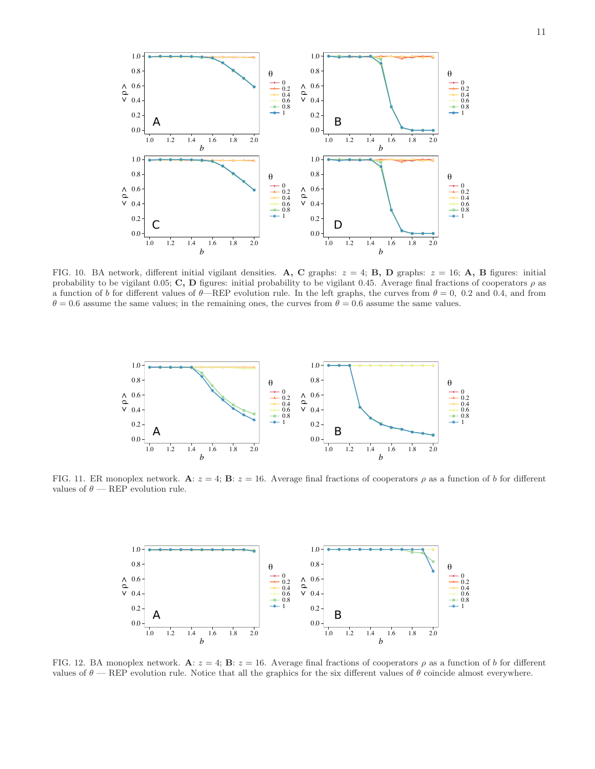

<span id="page-10-0"></span>FIG. 10. BA network, different initial vigilant densities. A, C graphs:  $z = 4$ ; B, D graphs:  $z = 16$ ; A, B figures: initial probability to be vigilant 0.05; C, D figures: initial probability to be vigilant 0.45. Average final fractions of cooperators  $\rho$  as a function of b for different values of  $\theta$ —REP evolution rule. In the left graphs, the curves from  $\theta = 0$ , 0.2 and 0.4, and from  $\theta = 0.6$  assume the same values; in the remaining ones, the curves from  $\theta = 0.6$  assume the same values.



<span id="page-10-1"></span>FIG. 11. ER monoplex network. A:  $z = 4$ ; B:  $z = 16$ . Average final fractions of cooperators  $\rho$  as a function of b for different values of  $\theta$  — REP evolution rule.



<span id="page-10-2"></span>FIG. 12. BA monoplex network. A:  $z = 4$ ; B:  $z = 16$ . Average final fractions of cooperators  $\rho$  as a function of b for different values of  $\theta$  — REP evolution rule. Notice that all the graphics for the six different values of  $\theta$  coincide almost everywhere.